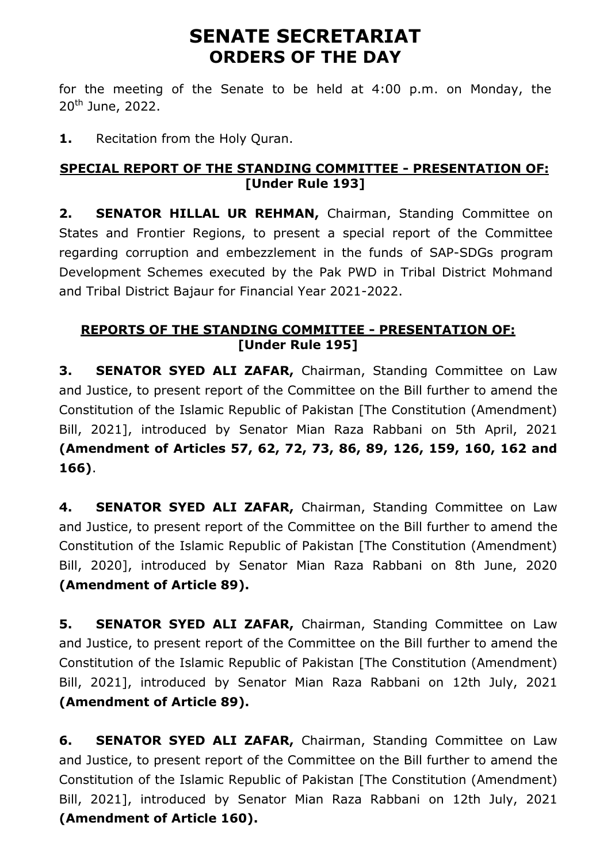# **SENATE SECRETARIAT ORDERS OF THE DAY**

for the meeting of the Senate to be held at 4:00 p.m. on Monday, the  $20^{th}$  June, 2022.

**1.** Recitation from the Holy Quran.

## **SPECIAL REPORT OF THE STANDING COMMITTEE - PRESENTATION OF: [Under Rule 193]**

**2. SENATOR HILLAL UR REHMAN,** Chairman, Standing Committee on States and Frontier Regions, to present a special report of the Committee regarding corruption and embezzlement in the funds of SAP-SDGs program Development Schemes executed by the Pak PWD in Tribal District Mohmand and Tribal District Bajaur for Financial Year 2021-2022.

## **REPORTS OF THE STANDING COMMITTEE - PRESENTATION OF: [Under Rule 195]**

**3. SENATOR SYED ALI ZAFAR,** Chairman, Standing Committee on Law and Justice, to present report of the Committee on the Bill further to amend the Constitution of the Islamic Republic of Pakistan [The Constitution (Amendment) Bill, 2021], introduced by Senator Mian Raza Rabbani on 5th April, 2021 **(Amendment of Articles 57, 62, 72, 73, 86, 89, 126, 159, 160, 162 and 166)**.

**4. SENATOR SYED ALI ZAFAR,** Chairman, Standing Committee on Law and Justice, to present report of the Committee on the Bill further to amend the Constitution of the Islamic Republic of Pakistan [The Constitution (Amendment) Bill, 2020], introduced by Senator Mian Raza Rabbani on 8th June, 2020 **(Amendment of Article 89).**

**5. SENATOR SYED ALI ZAFAR,** Chairman, Standing Committee on Law and Justice, to present report of the Committee on the Bill further to amend the Constitution of the Islamic Republic of Pakistan [The Constitution (Amendment) Bill, 2021], introduced by Senator Mian Raza Rabbani on 12th July, 2021 **(Amendment of Article 89).**

**6. SENATOR SYED ALI ZAFAR,** Chairman, Standing Committee on Law and Justice, to present report of the Committee on the Bill further to amend the Constitution of the Islamic Republic of Pakistan [The Constitution (Amendment) Bill, 2021], introduced by Senator Mian Raza Rabbani on 12th July, 2021 **(Amendment of Article 160).**